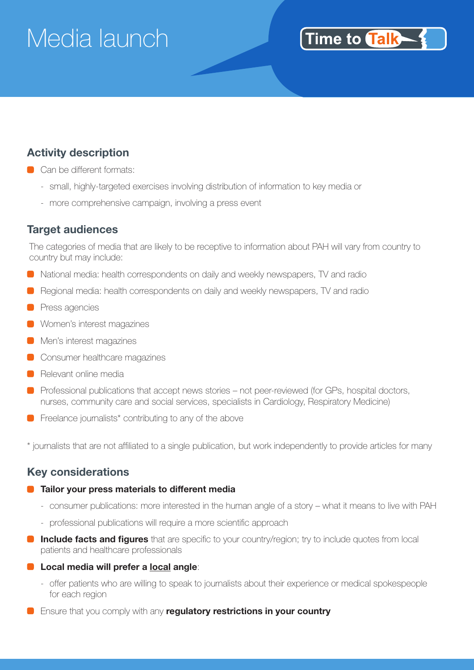# Media launch

### Time to Talk

### **Activity description**

- Can be different formats:
	- small, highly-targeted exercises involving distribution of information to key media or
	- more comprehensive campaign, involving a press event

#### **Target audiences**

The categories of media that are likely to be receptive to information about PAH will vary from country to country but may include:

- National media: health correspondents on daily and weekly newspapers, TV and radio
- **B** Regional media: health correspondents on daily and weekly newspapers, TV and radio
- **Press agencies**
- **Women's interest magazines**
- **Men's interest magazines**
- Consumer healthcare magazines
- **Relevant online media**
- **Professional publications that accept news stories not peer-reviewed (for GPs, hospital doctors,** nurses, community care and social services, specialists in Cardiology, Respiratory Medicine)
- **•** Freelance journalists\* contributing to any of the above

\* journalists that are not affiliated to a single publication, but work independently to provide articles for many

#### **Key considerations**

#### **C** Tailor your press materials to different media

- consumer publications: more interested in the human angle of a story what it means to live with PAH
- professional publications will require a more scientific approach
- **Include facts and figures** that are specific to your country/region; try to include quotes from local patients and healthcare professionals
- **Local media will prefer a local angle**:
	- offer patients who are willing to speak to journalists about their experience or medical spokespeople for each region
- **E** Ensure that you comply with any **regulatory restrictions in your country**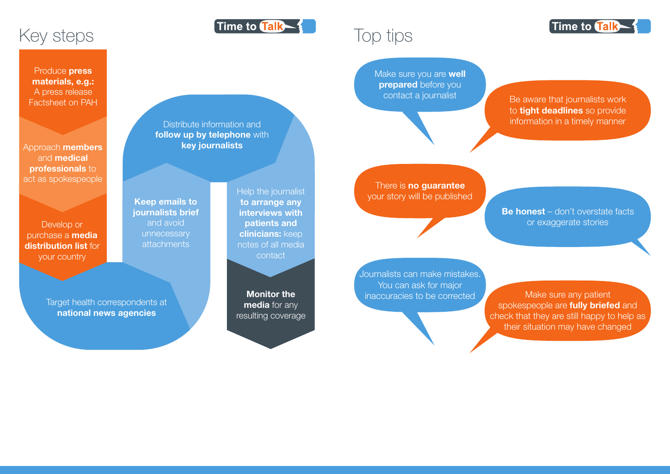

Monitor the media for any resulting coverage

Help the journalist to arrange any interviews with patients and clinicians: keep notes of all media contact

Time to Talk

Keep emails to journalists brief and avoid unnecessary attachments

Approach members and medical **professionals to** act as spokespeople

Distribute information and follow up by telephone with key journalists

> Journalists can make mistakes. You can ask for major inaccuracies to be corrected Make sure any patient



Target health correspondents at national news agencies

Develop or purchase a media distribution list for your country

contact a journalist Be aware that journalists work to **tight deadlines** so provide information in a timely manner

Produce press materials, e.g.: A press release Factsheet on PAH

## Top tips

spokespeople are **fully briefed** and check that they are still happy to help as their situation may have changed

Make sure you are **well prepared** before you

There is **no guarantee** your story will be published

> **Be honest** – don't overstate facts or exaggerate stories